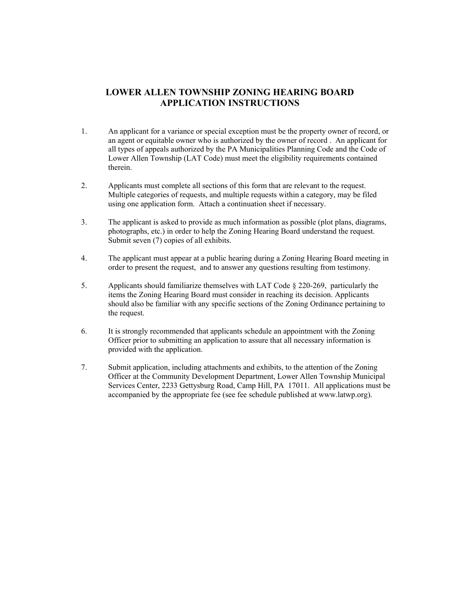# **LOWER ALLEN TOWNSHIP ZONING HEARING BOARD APPLICATION INSTRUCTIONS**

- 1. An applicant for a variance or special exception must be the property owner of record, or an agent or equitable owner who is authorized by the owner of record . An applicant for all types of appeals authorized by the PA Municipalities Planning Code and the Code of Lower Allen Township (LAT Code) must meet the eligibility requirements contained therein.
- 2. Applicants must complete all sections of this form that are relevant to the request. Multiple categories of requests, and multiple requests within a category, may be filed using one application form. Attach a continuation sheet if necessary.
- 3. The applicant is asked to provide as much information as possible (plot plans, diagrams, photographs, etc.) in order to help the Zoning Hearing Board understand the request. Submit seven (7) copies of all exhibits.
- 4. The applicant must appear at a public hearing during a Zoning Hearing Board meeting in order to present the request, and to answer any questions resulting from testimony.
- 5. Applicants should familiarize themselves with LAT Code § 220-269, particularly the items the Zoning Hearing Board must consider in reaching its decision. Applicants should also be familiar with any specific sections of the Zoning Ordinance pertaining to the request.
- 6. It is strongly recommended that applicants schedule an appointment with the Zoning Officer prior to submitting an application to assure that all necessary information is provided with the application.
- 7. Submit application, including attachments and exhibits, to the attention of the Zoning Officer at the Community Development Department, Lower Allen Township Municipal Services Center, 2233 Gettysburg Road, Camp Hill, PA 17011. All applications must be accompanied by the appropriate fee (see fee schedule published at www.latwp.org).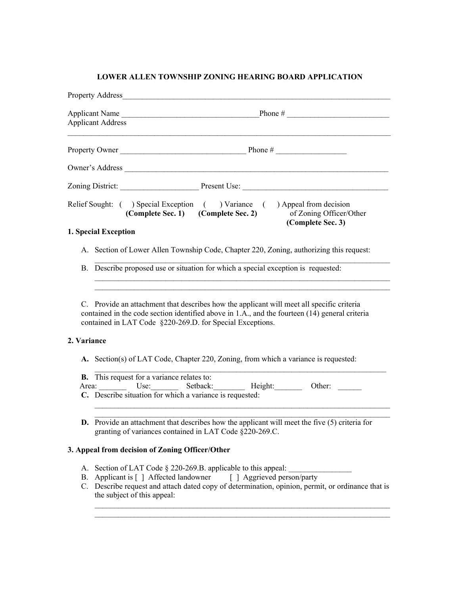### **LOWER ALLEN TOWNSHIP ZONING HEARING BOARD APPLICATION**

|             | <b>Property Address</b>                                                                 |                                                                                                                                                                                                                                                          |                                              |  |
|-------------|-----------------------------------------------------------------------------------------|----------------------------------------------------------------------------------------------------------------------------------------------------------------------------------------------------------------------------------------------------------|----------------------------------------------|--|
|             | <b>Applicant Address</b>                                                                |                                                                                                                                                                                                                                                          |                                              |  |
|             |                                                                                         |                                                                                                                                                                                                                                                          |                                              |  |
|             |                                                                                         |                                                                                                                                                                                                                                                          |                                              |  |
|             |                                                                                         |                                                                                                                                                                                                                                                          |                                              |  |
|             |                                                                                         | Relief Sought: ( ) Special Exception ( ) Variance ( ) Appeal from decision<br>(Complete Sec. 1) (Complete Sec. 2)                                                                                                                                        | of Zoning Officer/Other<br>(Complete Sec. 3) |  |
|             | 1. Special Exception                                                                    |                                                                                                                                                                                                                                                          |                                              |  |
|             | A. Section of Lower Allen Township Code, Chapter 220, Zoning, authorizing this request: |                                                                                                                                                                                                                                                          |                                              |  |
|             | B. Describe proposed use or situation for which a special exception is requested:       |                                                                                                                                                                                                                                                          |                                              |  |
| 2. Variance |                                                                                         | C. Provide an attachment that describes how the applicant will meet all specific criteria<br>contained in the code section identified above in 1.A., and the fourteen (14) general criteria<br>contained in LAT Code §220-269.D. for Special Exceptions. |                                              |  |
|             |                                                                                         | A. Section(s) of LAT Code, Chapter 220, Zoning, from which a variance is requested:                                                                                                                                                                      |                                              |  |
|             |                                                                                         | <b>B.</b> This request for a variance relates to:<br>Area: Use: Setback: Height:<br>C. Describe situation for which a variance is requested:                                                                                                             | Other:                                       |  |

**D.** Provide an attachment that describes how the applicant will meet the five (5) criteria for granting of variances contained in LAT Code §220-269.C.

### **3. Appeal from decision of Zoning Officer/Other**

- A. Section of LAT Code § 220-269.B. applicable to this appeal:
- B. Applicant is [ ] Affected landowner [ ] Aggrieved person/party
- C. Describe request and attach dated copy of determination, opinion, permit, or ordinance that is the subject of this appeal: